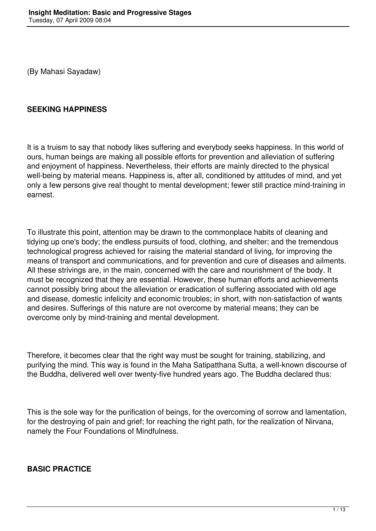(By Mahasi Sayadaw)

#### **SEEKING HAPPINESS**

It is a truism to say that nobody likes suffering and everybody seeks happiness. In this world of ours, human beings are making all possible efforts for prevention and alleviation of suffering and enjoyment of happiness. Nevertheless, their efforts are mainly directed to the physical well-being by material means. Happiness is, after all, conditioned by attitudes of mind, and yet only a few persons give real thought to mental development; fewer still practice mind-training in earnest.

To illustrate this point, attention may be drawn to the commonplace habits of cleaning and tidying up one's body; the endless pursuits of food, clothing, and shelter; and the tremendous technological progress achieved for raising the material standard of living, for improving the means of transport and communications, and for prevention and cure of diseases and ailments. All these strivings are, in the main, concerned with the care and nourishment of the body. It must be recognized that they are essential. However, these human efforts and achievements cannot possibly bring about the alleviation or eradication of suffering associated with old age and disease, domestic infelicity and economic troubles; in short, with non-satisfaction of wants and desires. Sufferings of this nature are not overcome by material means; they can be overcome only by mind-training and mental development.

Therefore, it becomes clear that the right way must be sought for training, stabilizing, and purifying the mind. This way is found in the Maha Satipatthana Sutta, a well-known discourse of the Buddha, delivered well over twenty-five hundred years ago. The Buddha declared thus:

This is the sole way for the purification of beings, for the overcoming of sorrow and lamentation, for the destroying of pain and grief; for reaching the right path, for the realization of Nirvana, namely the Four Foundations of Mindfulness.

# **BASIC PRACTICE**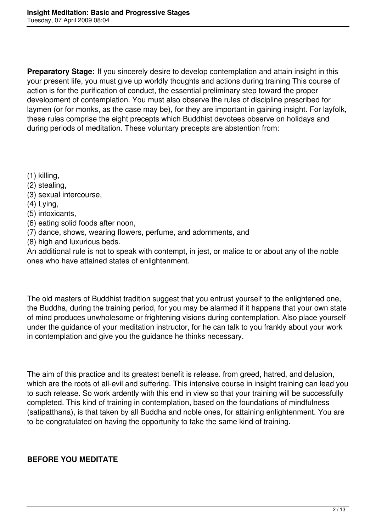**Preparatory Stage:** If you sincerely desire to develop contemplation and attain insight in this your present life, you must give up worldly thoughts and actions during training This course of action is for the purification of conduct, the essential preliminary step toward the proper development of contemplation. You must also observe the rules of discipline prescribed for laymen (or for monks, as the case may be), for they are important in gaining insight. For layfolk, these rules comprise the eight precepts which Buddhist devotees observe on holidays and during periods of meditation. These voluntary precepts are abstention from:

(1) killing,

- (2) stealing,
- (3) sexual intercourse,
- (4) Lying,
- (5) intoxicants,
- (6) eating solid foods after noon,
- (7) dance, shows, wearing flowers, perfume, and adornments, and
- (8) high and luxurious beds.

An additional rule is not to speak with contempt, in jest, or malice to or about any of the noble ones who have attained states of enlightenment.

The old masters of Buddhist tradition suggest that you entrust yourself to the enlightened one, the Buddha, during the training period, for you may be alarmed if it happens that your own state of mind produces unwholesome or frightening visions during contemplation. Also place yourself under the guidance of your meditation instructor, for he can talk to you frankly about your work in contemplation and give you the guidance he thinks necessary.

The aim of this practice and its greatest benefit is release. from greed, hatred, and delusion, which are the roots of all-evil and suffering. This intensive course in insight training can lead you to such release. So work ardently with this end in view so that your training will be successfully completed. This kind of training in contemplation, based on the foundations of mindfulness (satipatthana), is that taken by all Buddha and noble ones, for attaining enlightenment. You are to be congratulated on having the opportunity to take the same kind of training.

### **BEFORE YOU MEDITATE**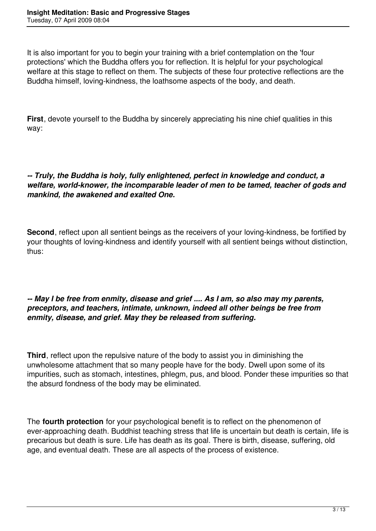It is also important for you to begin your training with a brief contemplation on the 'four protections' which the Buddha offers you for reflection. It is helpful for your psychological welfare at this stage to reflect on them. The subjects of these four protective reflections are the Buddha himself, loving-kindness, the loathsome aspects of the body, and death.

**First**, devote yourself to the Buddha by sincerely appreciating his nine chief qualities in this way:

## *-- Truly, the Buddha is holy, fully enlightened, perfect in knowledge and conduct, a welfare, world-knower, the incomparable leader of men to be tamed, teacher of gods and mankind, the awakened and exalted One.*

**Second**, reflect upon all sentient beings as the receivers of your loving-kindness, be fortified by your thoughts of loving-kindness and identify yourself with all sentient beings without distinction, thus:

### *-- May I be free from enmity, disease and grief .... As I am, so also may my parents, preceptors, and teachers, intimate, unknown, indeed all other beings be free from enmity, disease, and grief. May they be released from suffering.*

**Third**, reflect upon the repulsive nature of the body to assist you in diminishing the unwholesome attachment that so many people have for the body. Dwell upon some of its impurities, such as stomach, intestines, phlegm, pus, and blood. Ponder these impurities so that the absurd fondness of the body may be eliminated.

The **fourth protection** for your psychological benefit is to reflect on the phenomenon of ever-approaching death. Buddhist teaching stress that life is uncertain but death is certain, life is precarious but death is sure. Life has death as its goal. There is birth, disease, suffering, old age, and eventual death. These are all aspects of the process of existence.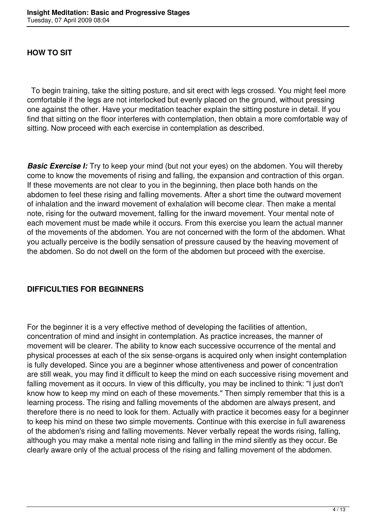#### **HOW TO SIT**

 To begin training, take the sitting posture, and sit erect with legs crossed. You might feel more comfortable if the legs are not interlocked but evenly placed on the ground, without pressing one against the other. Have your meditation teacher explain the sitting posture in detail. If you find that sitting on the floor interferes with contemplation, then obtain a more comfortable way of sitting. Now proceed with each exercise in contemplation as described.

**Basic Exercise I:** Try to keep your mind (but not your eyes) on the abdomen. You will thereby come to know the movements of rising and falling, the expansion and contraction of this organ. If these movements are not clear to you in the beginning, then place both hands on the abdomen to feel these rising and falling movements. After a short time the outward movement of inhalation and the inward movement of exhalation will become clear. Then make a mental note, rising for the outward movement, falling for the inward movement. Your mental note of each movement must be made while it occurs. From this exercise you learn the actual manner of the movements of the abdomen. You are not concerned with the form of the abdomen. What you actually perceive is the bodily sensation of pressure caused by the heaving movement of the abdomen. So do not dwell on the form of the abdomen but proceed with the exercise.

### **DIFFICULTIES FOR BEGINNERS**

For the beginner it is a very effective method of developing the facilities of attention, concentration of mind and insight in contemplation. As practice increases, the manner of movement will be clearer. The ability to know each successive occurrence of the mental and physical processes at each of the six sense-organs is acquired only when insight contemplation is fully developed. Since you are a beginner whose attentiveness and power of concentration are still weak, you may find it difficult to keep the mind on each successive rising movement and falling movement as it occurs. In view of this difficulty, you may be inclined to think: "I just don't know how to keep my mind on each of these movements." Then simply remember that this is a learning process. The rising and falling movements of the abdomen are always present, and therefore there is no need to look for them. Actually with practice it becomes easy for a beginner to keep his mind on these two simple movements. Continue with this exercise in full awareness of the abdomen's rising and falling movements. Never verbally repeat the words rising, falling, although you may make a mental note rising and falling in the mind silently as they occur. Be clearly aware only of the actual process of the rising and falling movement of the abdomen.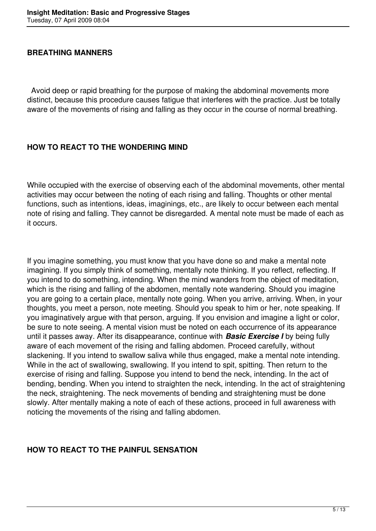#### **BREATHING MANNERS**

 Avoid deep or rapid breathing for the purpose of making the abdominal movements more distinct, because this procedure causes fatigue that interferes with the practice. Just be totally aware of the movements of rising and falling as they occur in the course of normal breathing.

## **HOW TO REACT TO THE WONDERING MIND**

While occupied with the exercise of observing each of the abdominal movements, other mental activities may occur between the noting of each rising and falling. Thoughts or other mental functions, such as intentions, ideas, imaginings, etc., are likely to occur between each mental note of rising and falling. They cannot be disregarded. A mental note must be made of each as it occurs.

If you imagine something, you must know that you have done so and make a mental note imagining. If you simply think of something, mentally note thinking. If you reflect, reflecting. If you intend to do something, intending. When the mind wanders from the object of meditation, which is the rising and falling of the abdomen, mentally note wandering. Should you imagine you are going to a certain place, mentally note going. When you arrive, arriving. When, in your thoughts, you meet a person, note meeting. Should you speak to him or her, note speaking. If you imaginatively argue with that person, arguing. If you envision and imagine a light or color, be sure to note seeing. A mental vision must be noted on each occurrence of its appearance until it passes away. After its disappearance, continue with *Basic Exercise I* by being fully aware of each movement of the rising and falling abdomen. Proceed carefully, without slackening. If you intend to swallow saliva while thus engaged, make a mental note intending. While in the act of swallowing, swallowing. If you intend to spit, spitting. Then return to the exercise of rising and falling. Suppose you intend to bend the neck, intending. In the act of bending, bending. When you intend to straighten the neck, intending. In the act of straightening the neck, straightening. The neck movements of bending and straightening must be done slowly. After mentally making a note of each of these actions, proceed in full awareness with noticing the movements of the rising and falling abdomen.

# **HOW TO REACT TO THE PAINFUL SENSATION**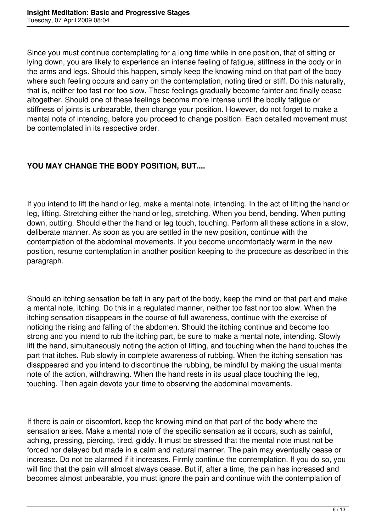Since you must continue contemplating for a long time while in one position, that of sitting or lying down, you are likely to experience an intense feeling of fatigue, stiffness in the body or in the arms and legs. Should this happen, simply keep the knowing mind on that part of the body where such feeling occurs and carry on the contemplation, noting tired or stiff. Do this naturally, that is, neither too fast nor too slow. These feelings gradually become fainter and finally cease altogether. Should one of these feelings become more intense until the bodily fatigue or stiffness of joints is unbearable, then change your position. However, do not forget to make a mental note of intending, before you proceed to change position. Each detailed movement must be contemplated in its respective order.

# **YOU MAY CHANGE THE BODY POSITION, BUT....**

If you intend to lift the hand or leg, make a mental note, intending. In the act of lifting the hand or leg, lifting. Stretching either the hand or leg, stretching. When you bend, bending. When putting down, putting. Should either the hand or leg touch, touching. Perform all these actions in a slow, deliberate manner. As soon as you are settled in the new position, continue with the contemplation of the abdominal movements. If you become uncomfortably warm in the new position, resume contemplation in another position keeping to the procedure as described in this paragraph.

Should an itching sensation be felt in any part of the body, keep the mind on that part and make a mental note, itching. Do this in a regulated manner, neither too fast nor too slow. When the itching sensation disappears in the course of full awareness, continue with the exercise of noticing the rising and falling of the abdomen. Should the itching continue and become too strong and you intend to rub the itching part, be sure to make a mental note, intending. Slowly lift the hand, simultaneously noting the action of lifting, and touching when the hand touches the part that itches. Rub slowly in complete awareness of rubbing. When the itching sensation has disappeared and you intend to discontinue the rubbing, be mindful by making the usual mental note of the action, withdrawing. When the hand rests in its usual place touching the leg, touching. Then again devote your time to observing the abdominal movements.

If there is pain or discomfort, keep the knowing mind on that part of the body where the sensation arises. Make a mental note of the specific sensation as it occurs, such as painful, aching, pressing, piercing, tired, giddy. It must be stressed that the mental note must not be forced nor delayed but made in a calm and natural manner. The pain may eventually cease or increase. Do not be alarmed if it increases. Firmly continue the contemplation. If you do so, you will find that the pain will almost always cease. But if, after a time, the pain has increased and becomes almost unbearable, you must ignore the pain and continue with the contemplation of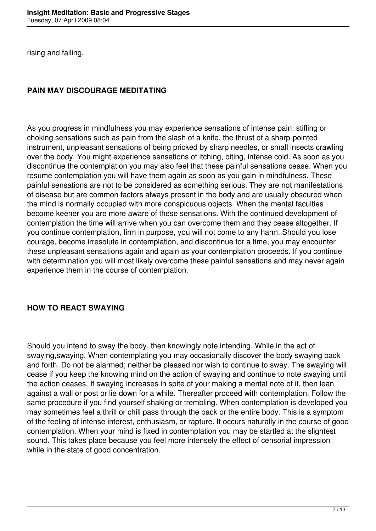rising and falling.

# **PAIN MAY DISCOURAGE MEDITATING**

As you progress in mindfulness you may experience sensations of intense pain: stifling or choking sensations such as pain from the slash of a knife, the thrust of a sharp-pointed instrument, unpleasant sensations of being pricked by sharp needles, or small insects crawling over the body. You might experience sensations of itching, biting, intense cold. As soon as you discontinue the contemplation you may also feel that these painful sensations cease. When you resume contemplation you will have them again as soon as you gain in mindfulness. These painful sensations are not to be considered as something serious. They are not manifestations of disease but are common factors always present in the body and are usually obscured when the mind is normally occupied with more conspicuous objects. When the mental faculties become keener you are more aware of these sensations. With the continued development of contemplation the time will arrive when you can overcome them and they cease altogether. If you continue contemplation, firm in purpose, you will not come to any harm. Should you lose courage, become irresolute in contemplation, and discontinue for a time, you may encounter these unpleasant sensations again and again as your contemplation proceeds. If you continue with determination you will most likely overcome these painful sensations and may never again experience them in the course of contemplation.

### **HOW TO REACT SWAYING**

Should you intend to sway the body, then knowingly note intending. While in the act of swaying,swaying. When contemplating you may occasionally discover the body swaying back and forth. Do not be alarmed; neither be pleased nor wish to continue to sway. The swaying will cease if you keep the knowing mind on the action of swaying and continue to note swaying until the action ceases. If swaying increases in spite of your making a mental note of it, then lean against a wall or post or lie down for a while. Thereafter proceed with contemplation. Follow the same procedure if you find yourself shaking or trembling. When contemplation is developed you may sometimes feel a thrill or chill pass through the back or the entire body. This is a symptom of the feeling of intense interest, enthusiasm, or rapture. It occurs naturally in the course of good contemplation. When your mind is fixed in contemplation you may be startled at the slightest sound. This takes place because you feel more intensely the effect of censorial impression while in the state of good concentration.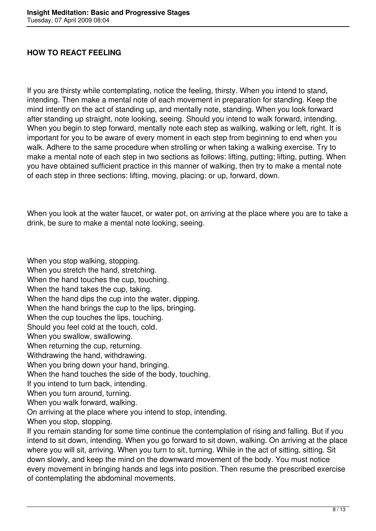#### **HOW TO REACT FEELING**

If you are thirsty while contemplating, notice the feeling, thirsty. When you intend to stand, intending. Then make a mental note of each movement in preparation for standing. Keep the mind intently on the act of standing up, and mentally note, standing. When you look forward after standing up straight, note looking, seeing. Should you intend to walk forward, intending. When you begin to step forward, mentally note each step as walking, walking or left, right. It is important for you to be aware of every moment in each step from beginning to end when you walk. Adhere to the same procedure when strolling or when taking a walking exercise. Try to make a mental note of each step in two sections as follows: lifting, putting; lifting, putting. When you have obtained sufficient practice in this manner of walking, then try to make a mental note of each step in three sections: lifting, moving, placing: or up, forward, down.

When you look at the water faucet, or water pot, on arriving at the place where you are to take a drink, be sure to make a mental note looking, seeing.

When you stop walking, stopping.

When you stretch the hand, stretching.

When the hand touches the cup, touching.

When the hand takes the cup, taking.

When the hand dips the cup into the water, dipping.

When the hand brings the cup to the lips, bringing.

When the cup touches the lips, touching.

Should you feel cold at the touch, cold.

When you swallow, swallowing.

When returning the cup, returning.

Withdrawing the hand, withdrawing.

When you bring down your hand, bringing.

When the hand touches the side of the body, touching.

If you intend to turn back, intending.

When you turn around, turning.

When you walk forward, walking.

On arriving at the place where you intend to stop, intending.

When you stop, stopping.

If you remain standing for some time continue the contemplation of rising and falling. But if you intend to sit down, intending. When you go forward to sit down, walking. On arriving at the place where you will sit, arriving. When you turn to sit, turning. While in the act of sitting, sitting. Sit down slowly, and keep the mind on the downward movement of the body. You must notice every movement in bringing hands and legs into position. Then resume the prescribed exercise of contemplating the abdominal movements.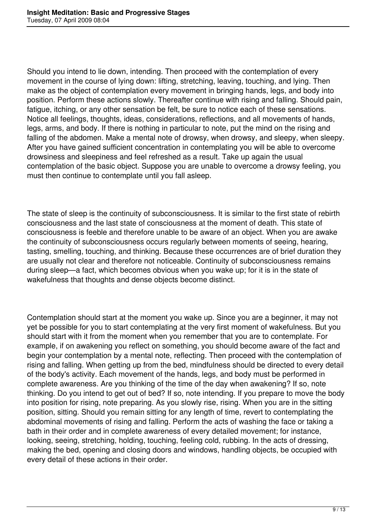Should you intend to lie down, intending. Then proceed with the contemplation of every movement in the course of lying down: lifting, stretching, leaving, touching, and lying. Then make as the object of contemplation every movement in bringing hands, legs, and body into position. Perform these actions slowly. Thereafter continue with rising and falling. Should pain, fatigue, itching, or any other sensation be felt, be sure to notice each of these sensations. Notice all feelings, thoughts, ideas, considerations, reflections, and all movements of hands, legs, arms, and body. If there is nothing in particular to note, put the mind on the rising and falling of the abdomen. Make a mental note of drowsy, when drowsy, and sleepy, when sleepy. After you have gained sufficient concentration in contemplating you will be able to overcome drowsiness and sleepiness and feel refreshed as a result. Take up again the usual contemplation of the basic object. Suppose you are unable to overcome a drowsy feeling, you must then continue to contemplate until you fall asleep.

The state of sleep is the continuity of subconsciousness. It is similar to the first state of rebirth consciousness and the last state of consciousness at the moment of death. This state of consciousness is feeble and therefore unable to be aware of an object. When you are awake the continuity of subconsciousness occurs regularly between moments of seeing, hearing, tasting, smelling, touching, and thinking. Because these occurrences are of brief duration they are usually not clear and therefore not noticeable. Continuity of subconsciousness remains during sleep—a fact, which becomes obvious when you wake up; for it is in the state of wakefulness that thoughts and dense objects become distinct.

Contemplation should start at the moment you wake up. Since you are a beginner, it may not yet be possible for you to start contemplating at the very first moment of wakefulness. But you should start with it from the moment when you remember that you are to contemplate. For example, if on awakening you reflect on something, you should become aware of the fact and begin your contemplation by a mental note, reflecting. Then proceed with the contemplation of rising and falling. When getting up from the bed, mindfulness should be directed to every detail of the body's activity. Each movement of the hands, legs, and body must be performed in complete awareness. Are you thinking of the time of the day when awakening? If so, note thinking. Do you intend to get out of bed? If so, note intending. If you prepare to move the body into position for rising, note preparing. As you slowly rise, rising. When you are in the sitting position, sitting. Should you remain sitting for any length of time, revert to contemplating the abdominal movements of rising and falling. Perform the acts of washing the face or taking a bath in their order and in complete awareness of every detailed movement; for instance, looking, seeing, stretching, holding, touching, feeling cold, rubbing. In the acts of dressing, making the bed, opening and closing doors and windows, handling objects, be occupied with every detail of these actions in their order.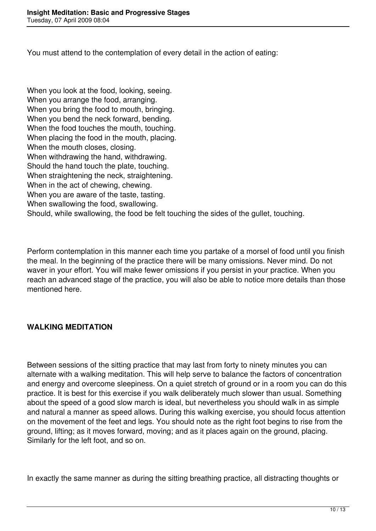You must attend to the contemplation of every detail in the action of eating:

When you look at the food, looking, seeing. When you arrange the food, arranging. When you bring the food to mouth, bringing. When you bend the neck forward, bending. When the food touches the mouth, touching. When placing the food in the mouth, placing. When the mouth closes, closing. When withdrawing the hand, withdrawing. Should the hand touch the plate, touching. When straightening the neck, straightening. When in the act of chewing, chewing. When you are aware of the taste, tasting. When swallowing the food, swallowing. Should, while swallowing, the food be felt touching the sides of the gullet, touching.

Perform contemplation in this manner each time you partake of a morsel of food until you finish the meal. In the beginning of the practice there will be many omissions. Never mind. Do not waver in your effort. You will make fewer omissions if you persist in your practice. When you reach an advanced stage of the practice, you will also be able to notice more details than those mentioned here.

### **WALKING MEDITATION**

Between sessions of the sitting practice that may last from forty to ninety minutes you can alternate with a walking meditation. This will help serve to balance the factors of concentration and energy and overcome sleepiness. On a quiet stretch of ground or in a room you can do this practice. It is best for this exercise if you walk deliberately much slower than usual. Something about the speed of a good slow march is ideal, but nevertheless you should walk in as simple and natural a manner as speed allows. During this walking exercise, you should focus attention on the movement of the feet and legs. You should note as the right foot begins to rise from the ground, lifting; as it moves forward, moving; and as it places again on the ground, placing. Similarly for the left foot, and so on.

In exactly the same manner as during the sitting breathing practice, all distracting thoughts or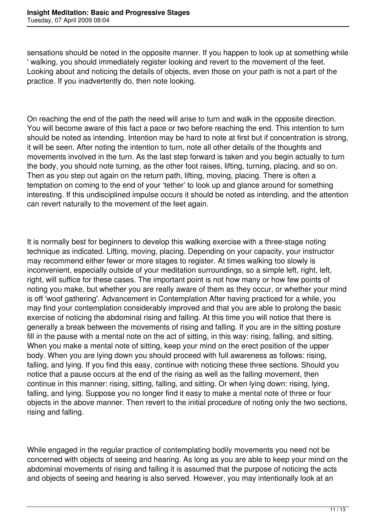sensations should be noted in the opposite manner. If you happen to look up at something while ' walking, you should immediately register looking and revert to the movement of the feet. Looking about and noticing the details of objects, even those on your path is not a part of the practice. If you inadvertently do, then note looking.

On reaching the end of the path the need will arise to turn and walk in the opposite direction. You will become aware of this fact a pace or two before reaching the end. This intention to turn should be noted as intending. Intention may be hard to note at first but if concentration is strong, it will be seen. After noting the intention to turn, note all other details of the thoughts and movements involved in the turn. As the last step forward is taken and you begin actually to turn the body, you should note turning, as the other foot raises, lifting, turning, placing, and so on. Then as you step out again on the return path, lifting, moving, placing. There is often a temptation on coming to the end of your 'tether' to look up and glance around for something interesting. If this undisciplined impulse occurs it should be noted as intending, and the attention can revert naturally to the movement of the feet again.

It is normally best for beginners to develop this walking exercise with a three-stage noting technique as indicated. Lifting, moving, placing. Depending on your capacity, your instructor may recommend either fewer or more stages to register. At times walking too slowly is inconvenient, especially outside of your meditation surroundings, so a simple left, right, left, right, will suffice for these cases. The important point is not how many or how few points of noting you make, but whether you are really aware of them as they occur, or whether your mind is off 'woof gathering'. Advancement in Contemplation After having practiced for a while, you may find your contemplation considerably improved and that you are able to prolong the basic exercise of noticing the abdominal rising and falling. At this time you will notice that there is generally a break between the movements of rising and falling. If you are in the sitting posture fill in the pause with a mental note on the act of sitting, in this way: rising, falling, and sitting. When you make a mental note of sitting, keep your mind on the erect position of the upper body. When you are lying down you should proceed with full awareness as follows: rising, falling, and lying. If you find this easy, continue with noticing these three sections. Should you notice that a pause occurs at the end of the rising as well as the falling movement, then continue in this manner: rising, sitting, falling, and sitting. Or when lying down: rising, lying, falling, and lying. Suppose you no longer find it easy to make a mental note of three or four objects in the above manner. Then revert to the initial procedure of noting only the two sections, rising and falling.

While engaged in the regular practice of contemplating bodily movements you need not be concerned with objects of seeing and hearing. As long as you are able to keep your mind on the abdominal movements of rising and falling it is assumed that the purpose of noticing the acts and objects of seeing and hearing is also served. However, you may intentionally look at an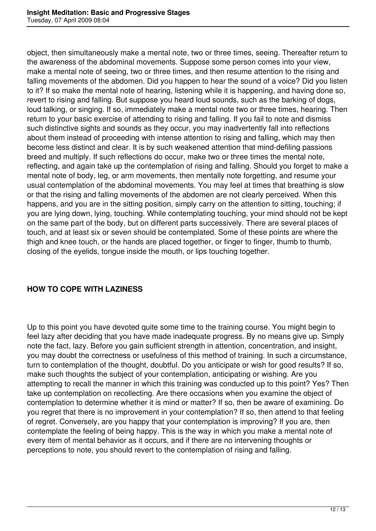object, then simultaneously make a mental note, two or three times, seeing. Thereafter return to the awareness of the abdominal movements. Suppose some person comes into your view, make a mental note of seeing, two or three times, and then resume attention to the rising and falling movements of the abdomen. Did you happen to hear the sound of a voice? Did you listen to it? If so make the mental note of hearing, listening while it is happening, and having done so, revert to rising and falling. But suppose you heard loud sounds, such as the barking of dogs, loud talking, or singing. If so, immediately make a mental note two or three times, hearing. Then return to your basic exercise of attending to rising and falling. If you fail to note and dismiss such distinctive sights and sounds as they occur, you may inadvertently fall into reflections about them instead of proceeding with intense attention to rising and falling, which may then become less distinct and clear. It is by such weakened attention that mind-defiling passions breed and multiply. If such reflections do occur, make two or three times the mental note, reflecting, and again take up the contemplation of rising and falling. Should you forget to make a mental note of body, leg, or arm movements, then mentally note forgetting, and resume your usual contemplation of the abdominal movements. You may feel at times that breathing is slow or that the rising and falling movements of the abdomen are not clearly perceived. When this happens, and you are in the sitting position, simply carry on the attention to sitting, touching; if you are lying down, lying, touching. While contemplating touching, your mind should not be kept on the same part of the body, but on different parts successively. There are several places of touch, and at least six or seven should be contemplated. Some of these points are where the thigh and knee touch, or the hands are placed together, or finger to finger, thumb to thumb, closing of the eyelids, tongue inside the mouth, or lips touching together.

# **HOW TO COPE WITH LAZINESS**

Up to this point you have devoted quite some time to the training course. You might begin to feel lazy after deciding that you have made inadequate progress. By no means give up. Simply note the fact, lazy. Before you gain sufficient strength in attention, concentration, and insight, you may doubt the correctness or usefulness of this method of training. In such a circumstance, turn to contemplation of the thought, doubtful. Do you anticipate or wish for good results? If so, make such thoughts the subject of your contemplation, anticipating or wishing. Are you attempting to recall the manner in which this training was conducted up to this point? Yes? Then take up contemplation on recollecting. Are there occasions when you examine the object of contemplation to determine whether it is mind or matter? If so, then be aware of examining. Do you regret that there is no improvement in your contemplation? If so, then attend to that feeling of regret. Conversely, are you happy that your contemplation is improving? If you are, then contemplate the feeling of being happy. This is the way in which you make a mental note of every item of mental behavior as it occurs, and if there are no intervening thoughts or perceptions to note, you should revert to the contemplation of rising and falling.